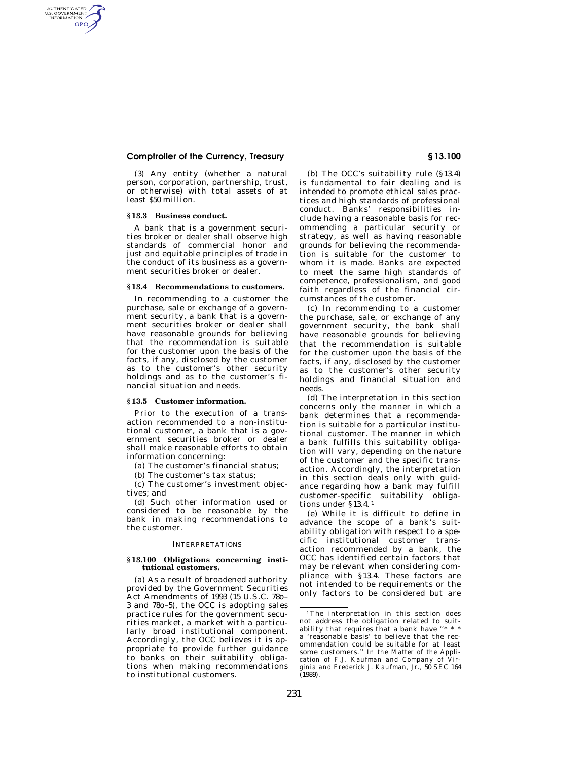## **Comptroller of the Currency, Treasury § 13.100**

(3) Any entity (whether a natural person, corporation, partnership, trust, or otherwise) with total assets of at least \$50 million.

### **§ 13.3 Business conduct.**

AUTHENTICATED<br>U.S. GOVERNMENT<br>INFORMATION GPO

> A bank that is a government securities broker or dealer shall observe high standards of commercial honor and just and equitable principles of trade in the conduct of its business as a government securities broker or dealer.

#### **§ 13.4 Recommendations to customers.**

In recommending to a customer the purchase, sale or exchange of a government security, a bank that is a government securities broker or dealer shall have reasonable grounds for believing that the recommendation is suitable for the customer upon the basis of the facts, if any, disclosed by the customer as to the customer's other security holdings and as to the customer's financial situation and needs.

#### **§ 13.5 Customer information.**

Prior to the execution of a transaction recommended to a non-institutional customer, a bank that is a government securities broker or dealer shall make reasonable efforts to obtain information concerning:

(a) The customer's financial status;

(b) The customer's tax status;

(c) The customer's investment objectives; and

(d) Such other information used or considered to be reasonable by the bank in making recommendations to the customer.

### INTERPRETATIONS

### **§ 13.100 Obligations concerning institutional customers.**

(a) As a result of broadened authority provided by the Government Securities Act Amendments of 1993 (15 U.S.C. 78o– 3 and 78o–5), the OCC is adopting sales practice rules for the government securities market, a market with a particularly broad institutional component. Accordingly, the OCC believes it is appropriate to provide further guidance to banks on their suitability obligations when making recommendations to institutional customers.

(b) The OCC's suitability rule (§13.4) is fundamental to fair dealing and is intended to promote ethical sales practices and high standards of professional conduct. Banks' responsibilities include having a reasonable basis for recommending a particular security or strategy, as well as having reasonable grounds for believing the recommendation is suitable for the customer to whom it is made. Banks are expected to meet the same high standards of

faith regardless of the financial circumstances of the customer. (c) In recommending to a customer the purchase, sale, or exchange of any government security, the bank shall have reasonable grounds for believing that the recommendation is suitable for the customer upon the basis of the facts, if any, disclosed by the customer as to the customer's other security holdings and financial situation and needs.

competence, professionalism, and good

(d) The interpretation in this section concerns only the manner in which a bank determines that a recommendation is suitable for a particular institutional customer. The manner in which a bank fulfills this suitability obligation will vary, depending on the nature of the customer and the specific transaction. Accordingly, the interpretation in this section deals only with guidance regarding how a bank may fulfill customer-specific suitability obligations under §13.4. 1

(e) While it is difficult to define in advance the scope of a bank's suitability obligation with respect to a specific institutional customer transaction recommended by a bank, the OCC has identified certain factors that may be relevant when considering compliance with §13.4. These factors are not intended to be requirements or the only factors to be considered but are

<sup>&</sup>lt;sup>1</sup>The interpretation in this section does not address the obligation related to suitability that requires that a bank have a 'reasonable basis' to believe that the recommendation could be suitable for at least some customers.'' *In the Matter of the Application of F.J. Kaufman and Company of Virginia and Frederick J. Kaufman, Jr.,* 50 SEC 164 (1989).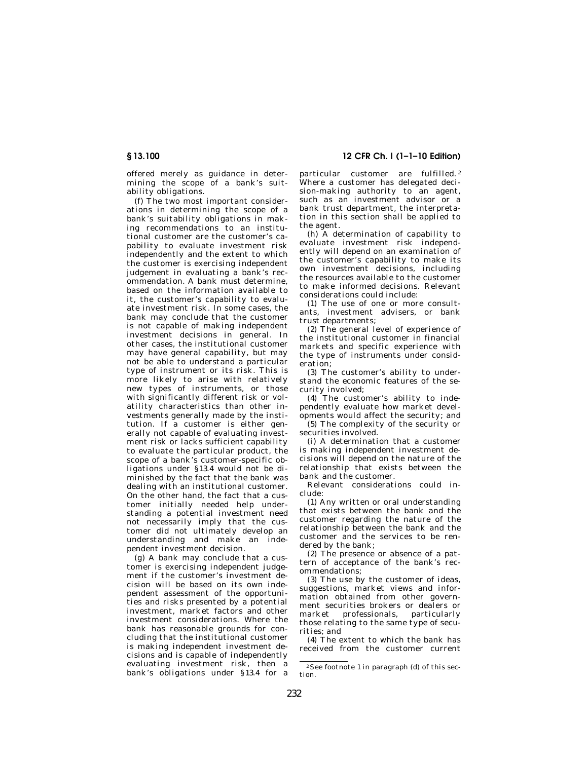offered merely as guidance in determining the scope of a bank's suitability obligations.

(f) The two most important considerations in determining the scope of a bank's suitability obligations in making recommendations to an institutional customer are the customer's capability to evaluate investment risk independently and the extent to which the customer is exercising independent judgement in evaluating a bank's recommendation. A bank must determine, based on the information available to it, the customer's capability to evaluate investment risk. In some cases, the bank may conclude that the customer is not capable of making independent investment decisions in general. In other cases, the institutional customer may have general capability, but may not be able to understand a particular type of instrument or its risk. This is more likely to arise with relatively new types of instruments, or those with significantly different risk or volatility characteristics than other investments generally made by the institution. If a customer is either generally not capable of evaluating investment risk or lacks sufficient capability to evaluate the particular product, the scope of a bank's customer-specific obligations under §13.4 would not be diminished by the fact that the bank was dealing with an institutional customer. On the other hand, the fact that a customer initially needed help understanding a potential investment need not necessarily imply that the customer did not ultimately develop an understanding and make an independent investment decision.

(g) A bank may conclude that a customer is exercising independent judgement if the customer's investment decision will be based on its own independent assessment of the opportunities and risks presented by a potential investment, market factors and other investment considerations. Where the bank has reasonable grounds for concluding that the institutional customer is making independent investment decisions and is capable of independently evaluating investment risk, then a bank's obligations under §13.4 for a

# **§ 13.100 12 CFR Ch. I (1–1–10 Edition)**

particular customer are fulfilled. 2 Where a customer has delegated decision-making authority to an agent, such as an investment advisor or a bank trust department, the interpretation in this section shall be applied to the agent.

(h) A determination of capability to evaluate investment risk independently will depend on an examination of the customer's capability to make its own investment decisions, including the resources available to the customer to make informed decisions. Relevant considerations could include:

(1) The use of one or more consultants, investment advisers, or bank trust departments;

(2) The general level of experience of the institutional customer in financial markets and specific experience with the type of instruments under consideration;

(3) The customer's ability to understand the economic features of the security involved;

(4) The customer's ability to independently evaluate how market developments would affect the security; and

(5) The complexity of the security or securities involved.

(i) A determination that a customer is making independent investment decisions will depend on the nature of the relationship that exists between the bank and the customer.

Relevant considerations could include:

(1) Any written or oral understanding that exists between the bank and the customer regarding the nature of the relationship between the bank and the customer and the services to be rendered by the bank;

(2) The presence or absence of a pattern of acceptance of the bank's recommendations;

(3) The use by the customer of ideas, suggestions, market views and information obtained from other government securities brokers or dealers or<br>market professionals, particularly professionals, those relating to the same type of securities; and

(4) The extent to which the bank has received from the customer current

<sup>2</sup> See footnote 1 in paragraph (d) of this section.